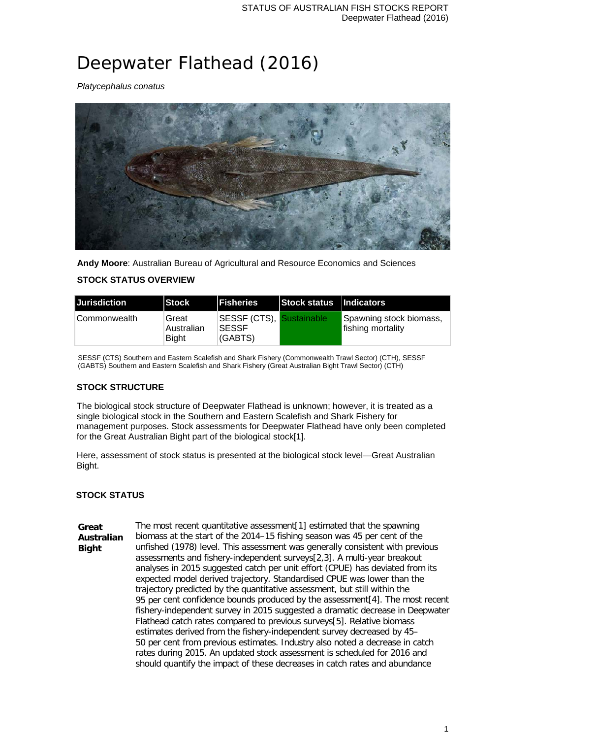# Deepwater Flathead (2016)

*Platycephalus conatus*



**Andy Moore**: Australian Bureau of Agricultural and Resource Economics and Sciences

## **STOCK STATUS OVERVIEW**

| Jurisdiction  | <b>Stock</b>                        | <b>IFisheries</b>                                   | <b>Stock status Indicators</b> |                                              |
|---------------|-------------------------------------|-----------------------------------------------------|--------------------------------|----------------------------------------------|
| ∣Commonwealth | Great<br>Australian<br><b>Bight</b> | SESSF (CTS), Sustainable<br><b>SESSF</b><br>(GABTS) |                                | Spawning stock biomass,<br>fishing mortality |

SESSF (CTS) Southern and Eastern Scalefish and Shark Fishery (Commonwealth Trawl Sector) (CTH), SESSF (GABTS) Southern and Eastern Scalefish and Shark Fishery (Great Australian Bight Trawl Sector) (CTH)

## **STOCK STRUCTURE**

The biological stock structure of Deepwater Flathead is unknown; however, it is treated as a single biological stock in the Southern and Eastern Scalefish and Shark Fishery for management purposes. Stock assessments for Deepwater Flathead have only been completed for the Great Australian Bight part of the biological stock[1].

Here, assessment of stock status is presented at the biological stock level—Great Australian Bight.

## **STOCK STATUS**

**Great Australian Bight** The most recent quantitative assessment[1] estimated that the spawning biomass at the start of the 2014–15 fishing season was 45 per cent of the unfished (1978) level. This assessment was generally consistent with previous assessments and fishery-independent surveys[2,3]. A multi-year breakout analyses in 2015 suggested catch per unit effort (CPUE) has deviated from its expected model derived trajectory. Standardised CPUE was lower than the trajectory predicted by the quantitative assessment, but still within the 95 per cent confidence bounds produced by the assessment[4]. The most recent fishery-independent survey in 2015 suggested a dramatic decrease in Deepwater Flathead catch rates compared to previous surveys[5]. Relative biomass estimates derived from the fishery-independent survey decreased by 45– 50 per cent from previous estimates. Industry also noted a decrease in catch rates during 2015. An updated stock assessment is scheduled for 2016 and should quantify the impact of these decreases in catch rates and abundance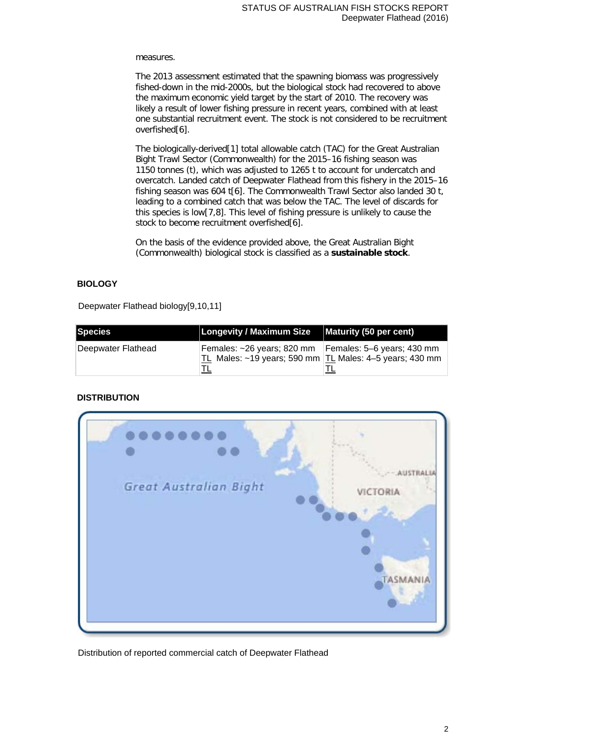#### measures.

The 2013 assessment estimated that the spawning biomass was progressively fished-down in the mid-2000s, but the biological stock had recovered to above the maximum economic yield target by the start of 2010. The recovery was likely a result of lower fishing pressure in recent years, combined with at least one substantial recruitment event. The stock is not considered to be recruitment overfished[6].

The biologically-derived[1] total allowable catch (TAC) for the Great Australian Bight Trawl Sector (Commonwealth) for the 2015–16 fishing season was 1150 tonnes (t), which was adjusted to 1265 t to account for undercatch and overcatch. Landed catch of Deepwater Flathead from this fishery in the 2015–16 fishing season was 604 t[6]. The Commonwealth Trawl Sector also landed 30 t, leading to a combined catch that was below the TAC. The level of discards for this species is low[7,8]. This level of fishing pressure is unlikely to cause the stock to become recruitment overfished[6].

On the basis of the evidence provided above, the Great Australian Bight (Commonwealth) biological stock is classified as a **sustainable stock**.

#### **BIOLOGY**

Deepwater Flathead biology[9,10,11]

| Species            | Longevity / Maximum Size   Maturity (50 per cent) |                                                                                             |
|--------------------|---------------------------------------------------|---------------------------------------------------------------------------------------------|
| Deepwater Flathead | Females: ~26 years; 820 mm                        | Females: 5–6 years; 430 mm<br>TL Males: $\sim$ 19 years; 590 mm TL Males: 4–5 years; 430 mm |

#### **DISTRIBUTION**



Distribution of reported commercial catch of Deepwater Flathead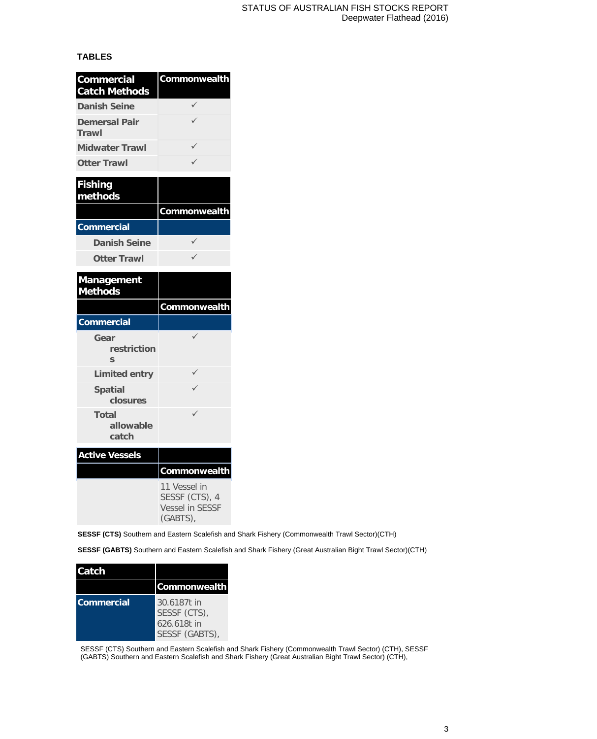#### **TABLES**

| <b>Commercial</b><br><b>Catch Methods</b>      | Commonwealth |
|------------------------------------------------|--------------|
| <b>Danish Seine</b>                            |              |
| <b>Demersal Pair</b><br>Trawl                  |              |
| <b>Midwater Trawl</b>                          |              |
| <b>Otter Trawl</b>                             |              |
| <b>Fishing</b><br>methods                      |              |
|                                                | Commonwealth |
| <b>Commercial</b>                              |              |
| <b>Danish Seine</b>                            | ✓            |
| <b>Otter Trawl</b>                             | ✓            |
| <b>Management</b><br><b>Methods</b>            |              |
|                                                |              |
|                                                | Commonwealth |
| <b>Commercial</b>                              |              |
| Gear<br>restriction<br>$\overline{\mathbf{S}}$ | ✓            |
| <b>Limited entry</b>                           |              |
| <b>Spatial</b><br>closures                     |              |
| Total<br>allowable<br>catch                    |              |
| <b>Active Vessels</b>                          |              |
|                                                | Commonwealth |

**SESSF (CTS)** Southern and Eastern Scalefish and Shark Fishery (Commonwealth Trawl Sector)(CTH)

**SESSF (GABTS)** Southern and Eastern Scalefish and Shark Fishery (Great Australian Bight Trawl Sector)(CTH)

| <b>Catch</b>      |                                                              |
|-------------------|--------------------------------------------------------------|
|                   | Commonwealth                                                 |
| <b>Commercial</b> | 30.6187t in<br>SESSF (CTS),<br>626.618t in<br>SESSF (GABTS), |

SESSF (CTS) Southern and Eastern Scalefish and Shark Fishery (Commonwealth Trawl Sector) (CTH), SESSF (GABTS) Southern and Eastern Scalefish and Shark Fishery (Great Australian Bight Trawl Sector) (CTH),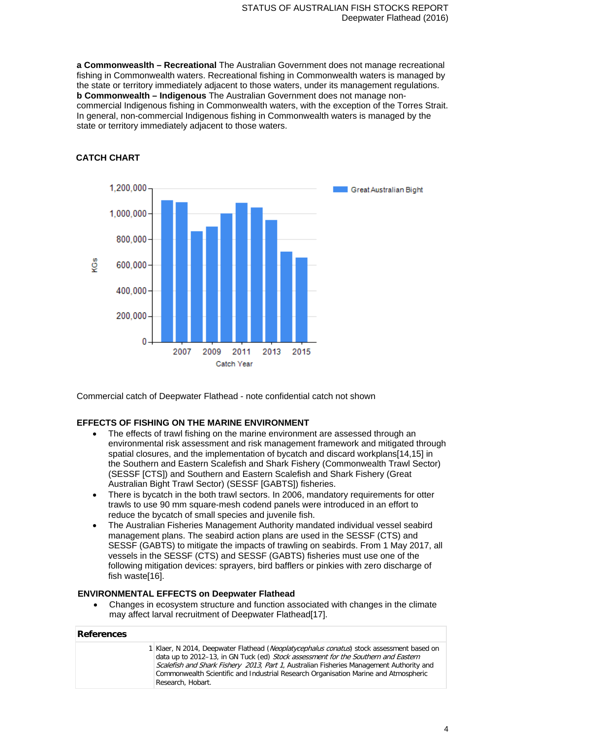**a Commonweaslth – Recreational** The Australian Government does not manage recreational fishing in Commonwealth waters. Recreational fishing in Commonwealth waters is managed by the state or territory immediately adjacent to those waters, under its management regulations. **b Commonwealth – Indigenous** The Australian Government does not manage noncommercial Indigenous fishing in Commonwealth waters, with the exception of the Torres Strait. In general, non-commercial Indigenous fishing in Commonwealth waters is managed by the state or territory immediately adjacent to those waters.

# **CATCH CHART**



Commercial catch of Deepwater Flathead - note confidential catch not shown

## **EFFECTS OF FISHING ON THE MARINE ENVIRONMENT**

- The effects of trawl fishing on the marine environment are assessed through an environmental risk assessment and risk management framework and mitigated through spatial closures, and the implementation of bycatch and discard workplans[14,15] in the Southern and Eastern Scalefish and Shark Fishery (Commonwealth Trawl Sector) (SESSF [CTS]) and Southern and Eastern Scalefish and Shark Fishery (Great Australian Bight Trawl Sector) (SESSF [GABTS]) fisheries.
- There is bycatch in the both trawl sectors. In 2006, mandatory requirements for otter trawls to use 90 mm square-mesh codend panels were introduced in an effort to reduce the bycatch of small species and juvenile fish.
- The Australian Fisheries Management Authority mandated individual vessel seabird management plans. The seabird action plans are used in the SESSF (CTS) and SESSF (GABTS) to mitigate the impacts of trawling on seabirds. From 1 May 2017, all vessels in the SESSF (CTS) and SESSF (GABTS) fisheries must use one of the following mitigation devices: sprayers, bird bafflers or pinkies with zero discharge of fish waste[16].

#### **ENVIRONMENTAL EFFECTS on Deepwater Flathead**

• Changes in ecosystem structure and function associated with changes in the climate may affect larval recruitment of Deepwater Flathead[17].

#### **References**